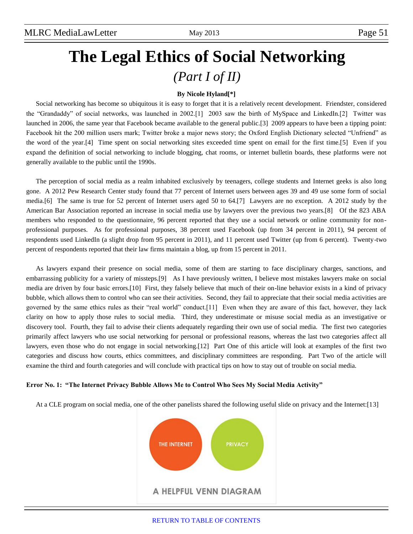# **The Legal Ethics of Social Networking** *(Part I of II)*

#### **By Nicole Hyland[\*]**

Social networking has become so ubiquitous it is easy to forget that it is a relatively recent development. Friendster, considered the "Grandaddy" of social networks, was launched in 2002.[1] 2003 saw the birth of MySpace and LinkedIn.[2] Twitter was launched in 2006, the same year that Facebook became available to the general public.[3] 2009 appears to have been a tipping point: Facebook hit the 200 million users mark; Twitter broke a major news story; the Oxford English Dictionary selected "Unfriend" as the word of the year.[4] Time spent on social networking sites exceeded time spent on email for the first time.[5] Even if you expand the definition of social networking to include blogging, chat rooms, or internet bulletin boards, these platforms were not generally available to the public until the 1990s.

The perception of social media as a realm inhabited exclusively by teenagers, college students and Internet geeks is also long gone. A 2012 Pew Research Center study found that 77 percent of Internet users between ages 39 and 49 use some form of social media.[6] The same is true for 52 percent of Internet users aged 50 to 64.[7] Lawyers are no exception. A 2012 study by the American Bar Association reported an increase in social media use by lawyers over the previous two years.[8] Of the 823 ABA members who responded to the questionnaire, 96 percent reported that they use a social network or online community for nonprofessional purposes. As for professional purposes, 38 percent used Facebook (up from 34 percent in 2011), 94 percent of respondents used LinkedIn (a slight drop from 95 percent in 2011), and 11 percent used Twitter (up from 6 percent). Twenty-two percent of respondents reported that their law firms maintain a blog, up from 15 percent in 2011.

As lawyers expand their presence on social media, some of them are starting to face disciplinary charges, sanctions, and embarrassing publicity for a variety of missteps.[9] As I have previously written, I believe most mistakes lawyers make on social media are driven by four basic errors.[10] First, they falsely believe that much of their on-line behavior exists in a kind of privacy bubble, which allows them to control who can see their activities. Second, they fail to appreciate that their social media activities are governed by the same ethics rules as their "real world" conduct.[11] Even when they are aware of this fact, however, they lack clarity on how to apply those rules to social media. Third, they underestimate or misuse social media as an investigative or discovery tool. Fourth, they fail to advise their clients adequately regarding their own use of social media. The first two categories primarily affect lawyers who use social networking for personal or professional reasons, whereas the last two categories affect all lawyers, even those who do not engage in social networking.[12] Part One of this article will look at examples of the first two categories and discuss how courts, ethics committees, and disciplinary committees are responding. Part Two of the article will examine the third and fourth categories and will conclude with practical tips on how to stay out of trouble on social media.

#### **Error No. 1: "The Internet Privacy Bubble Allows Me to Control Who Sees My Social Media Activity"**

At a CLE program on social media, one of the other panelists shared the following useful slide on privacy and the Internet:[13]

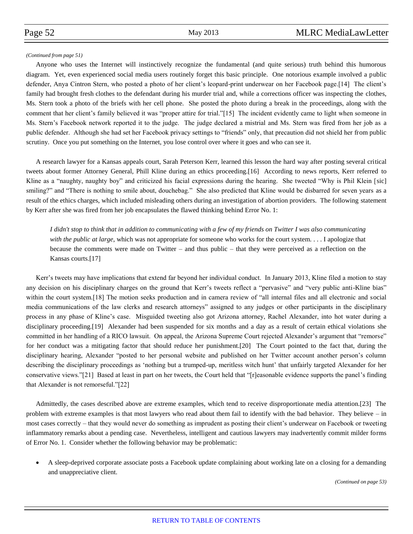#### *(Continued from page 51)*

Anyone who uses the Internet will instinctively recognize the fundamental (and quite serious) truth behind this humorous diagram. Yet, even experienced social media users routinely forget this basic principle. One notorious example involved a public defender, Anya Cintron Stern, who posted a photo of her client's leopard-print underwear on her Facebook page.[14] The client's family had brought fresh clothes to the defendant during his murder trial and, while a corrections officer was inspecting the clothes, Ms. Stern took a photo of the briefs with her cell phone. She posted the photo during a break in the proceedings, along with the comment that her client's family believed it was "proper attire for trial."[15] The incident evidently came to light when someone in Ms. Stern's Facebook network reported it to the judge. The judge declared a mistrial and Ms. Stern was fired from her job as a public defender. Although she had set her Facebook privacy settings to "friends" only, that precaution did not shield her from public scrutiny. Once you put something on the Internet, you lose control over where it goes and who can see it.

A research lawyer for a Kansas appeals court, Sarah Peterson Kerr, learned this lesson the hard way after posting several critical tweets about former Attorney General, Phill Kline during an ethics proceeding.[16] According to news reports, Kerr referred to Kline as a "naughty, naughty boy" and criticized his facial expressions during the hearing. She tweeted "Why is Phil Klein [sic] smiling?" and "There is nothing to smile about, douchebag." She also predicted that Kline would be disbarred for seven years as a result of the ethics charges, which included misleading others during an investigation of abortion providers. The following statement by Kerr after she was fired from her job encapsulates the flawed thinking behind Error No. 1:

*I didn't stop to think that in addition to communicating with a few of my friends on Twitter I was also communicating with the public at large*, which was not appropriate for someone who works for the court system. . . . I apologize that because the comments were made on Twitter – and thus public – that they were perceived as a reflection on the Kansas courts.[17]

Kerr's tweets may have implications that extend far beyond her individual conduct. In January 2013, Kline filed a motion to stay any decision on his disciplinary charges on the ground that Kerr's tweets reflect a "pervasive" and "very public anti-Kline bias" within the court system.[18] The motion seeks production and in camera review of "all internal files and all electronic and social media communications of the law clerks and research attorneys" assigned to any judges or other participants in the disciplinary process in any phase of Kline's case. Misguided tweeting also got Arizona attorney, Rachel Alexander, into hot water during a disciplinary proceeding.[19] Alexander had been suspended for six months and a day as a result of certain ethical violations she committed in her handling of a RICO lawsuit. On appeal, the Arizona Supreme Court rejected Alexander's argument that "remorse" for her conduct was a mitigating factor that should reduce her punishment.[20] The Court pointed to the fact that, during the disciplinary hearing, Alexander "posted to her personal website and published on her Twitter account another person's column describing the disciplinary proceedings as 'nothing but a trumped-up, meritless witch hunt' that unfairly targeted Alexander for her conservative views."[21] Based at least in part on her tweets, the Court held that "[r]easonable evidence supports the panel's finding that Alexander is not remorseful."[22]

Admittedly, the cases described above are extreme examples, which tend to receive disproportionate media attention.[23] The problem with extreme examples is that most lawyers who read about them fail to identify with the bad behavior. They believe – in most cases correctly – that they would never do something as imprudent as posting their client's underwear on Facebook or tweeting inflammatory remarks about a pending case. Nevertheless, intelligent and cautious lawyers may inadvertently commit milder forms of Error No. 1. Consider whether the following behavior may be problematic:

 A sleep-deprived corporate associate posts a Facebook update complaining about working late on a closing for a demanding and unappreciative client.

*(Continued on page 53)*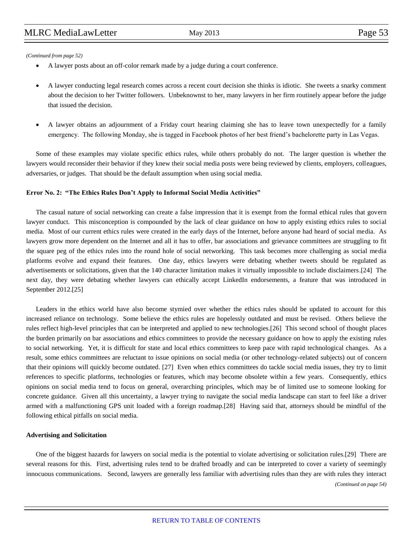*(Continued from page 52)*

- A lawyer posts about an off-color remark made by a judge during a court conference.
- A lawyer conducting legal research comes across a recent court decision she thinks is idiotic. She tweets a snarky comment about the decision to her Twitter followers. Unbeknownst to her, many lawyers in her firm routinely appear before the judge that issued the decision.
- A lawyer obtains an adjournment of a Friday court hearing claiming she has to leave town unexpectedly for a family emergency. The following Monday, she is tagged in Facebook photos of her best friend's bachelorette party in Las Vegas.

Some of these examples may violate specific ethics rules, while others probably do not. The larger question is whether the lawyers would reconsider their behavior if they knew their social media posts were being reviewed by clients, employers, colleagues, adversaries, or judges. That should be the default assumption when using social media.

#### **Error No. 2: "The Ethics Rules Don't Apply to Informal Social Media Activities"**

The casual nature of social networking can create a false impression that it is exempt from the formal ethical rules that govern lawyer conduct. This misconception is compounded by the lack of clear guidance on how to apply existing ethics rules to social media. Most of our current ethics rules were created in the early days of the Internet, before anyone had heard of social media. As lawyers grow more dependent on the Internet and all it has to offer, bar associations and grievance committees are struggling to fit the square peg of the ethics rules into the round hole of social networking. This task becomes more challenging as social media platforms evolve and expand their features. One day, ethics lawyers were debating whether tweets should be regulated as advertisements or solicitations, given that the 140 character limitation makes it virtually impossible to include disclaimers.[24] The next day, they were debating whether lawyers can ethically accept LinkedIn endorsements, a feature that was introduced in September 2012.[25]

Leaders in the ethics world have also become stymied over whether the ethics rules should be updated to account for this increased reliance on technology. Some believe the ethics rules are hopelessly outdated and must be revised. Others believe the rules reflect high-level principles that can be interpreted and applied to new technologies.[26] This second school of thought places the burden primarily on bar associations and ethics committees to provide the necessary guidance on how to apply the existing rules to social networking. Yet, it is difficult for state and local ethics committees to keep pace with rapid technological changes. As a result, some ethics committees are reluctant to issue opinions on social media (or other technology-related subjects) out of concern that their opinions will quickly become outdated. [27] Even when ethics committees do tackle social media issues, they try to limit references to specific platforms, technologies or features, which may become obsolete within a few years. Consequently, ethics opinions on social media tend to focus on general, overarching principles, which may be of limited use to someone looking for concrete guidance. Given all this uncertainty, a lawyer trying to navigate the social media landscape can start to feel like a driver armed with a malfunctioning GPS unit loaded with a foreign roadmap.[28] Having said that, attorneys should be mindful of the following ethical pitfalls on social media.

#### **Advertising and Solicitation**

One of the biggest hazards for lawyers on social media is the potential to violate advertising or solicitation rules.[29] There are several reasons for this. First, advertising rules tend to be drafted broadly and can be interpreted to cover a variety of seemingly innocuous communications. Second, lawyers are generally less familiar with advertising rules than they are with rules they interact *(Continued on page 54)*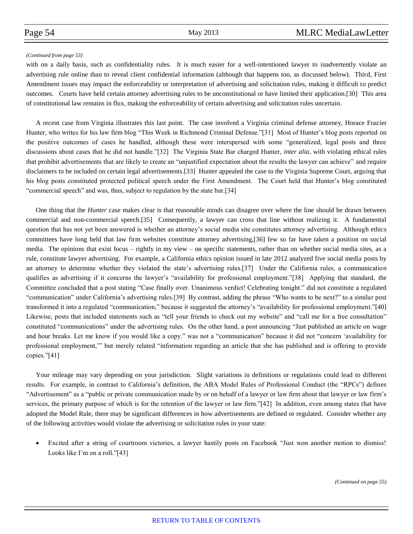#### *(Continued from page 53)*

with on a daily basis, such as confidentiality rules. It is much easier for a well-intentioned lawyer to inadvertently violate an advertising rule online than to reveal client confidential information (although that happens too, as discussed below). Third, First Amendment issues may impact the enforceability or interpretation of advertising and solicitation rules, making it difficult to predict outcomes. Courts have held certain attorney advertising rules to be unconstitutional or have limited their application.[30] This area of constitutional law remains in flux, making the enforceability of certain advertising and solicitation rules uncertain.

A recent case from Virginia illustrates this last point. The case involved a Virginia criminal defense attorney, Horace Frazier Hunter, who writes for his law firm blog "This Week in Richmond Criminal Defense."[31] Most of Hunter's blog posts reported on the positive outcomes of cases he handled, although these were interspersed with some "generalized, legal posts and three discussions about cases that he did not handle."[32] The Virginia State Bar charged Hunter, *inter alia*, with violating ethical rules that prohibit advertisements that are likely to create an "unjustified expectation about the results the lawyer can achieve" and require disclaimers to be included on certain legal advertisements.[33] Hunter appealed the case to the Virginia Supreme Court, arguing that his blog posts constituted protected political speech under the First Amendment. The Court held that Hunter's blog constituted "commercial speech" and was, thus, subject to regulation by the state bar.[34]

One thing that the *Hunter* case makes clear is that reasonable minds can disagree over where the line should be drawn between commercial and non-commercial speech.[35] Consequently, a lawyer can cross that line without realizing it. A fundamental question that has not yet been answered is whether an attorney's social media site constitutes attorney advertising. Although ethics committees have long held that law firm websites constitute attorney advertising,[36] few so far have taken a position on social media. The opinions that exist focus – rightly in my view – on specific statements, rather than on whether social media sites, as a rule, constitute lawyer advertising. For example, a California ethics opinion issued in late 2012 analyzed five social media posts by an attorney to determine whether they violated the state's advertising rules.[37] Under the California rules, a communication qualifies as advertising if it concerns the lawyer's "availability for professional employment."[38] Applying that standard, the Committee concluded that a post stating "Case finally over. Unanimous verdict! Celebrating tonight." did not constitute a regulated "communication" under California's advertising rules.[39] By contrast, adding the phrase "Who wants to be next?" to a similar post transformed it into a regulated "communication," because it suggested the attorney's "availability for professional employment."[40] Likewise, posts that included statements such as "tell your friends to check out my website" and "call me for a free consultation" constituted "communications" under the advertising rules. On the other hand, a post announcing "Just published an article on wage and hour breaks. Let me know if you would like a copy." was not a "communication" because it did not "concern 'availability for professional employment,'" but merely related "information regarding an article that she has published and is offering to provide copies."[41]

Your mileage may vary depending on your jurisdiction. Slight variations in definitions or regulations could lead to different results. For example, in contrast to California's definition, the ABA Model Rules of Professional Conduct (the "RPCs") defines "Advertisement" as a "public or private communication made by or on behalf of a lawyer or law firm about that lawyer or law firm's services, the primary purpose of which is for the retention of the lawyer or law firm."[42] In addition, even among states that have adopted the Model Rule, there may be significant differences in how advertisements are defined or regulated. Consider whether any of the following activities would violate the advertising or solicitation rules in your state:

 Excited after a string of courtroom victories, a lawyer hastily posts on Facebook "Just won another motion to dismiss! Looks like I'm on a roll."[43]

*(Continued on page 55)*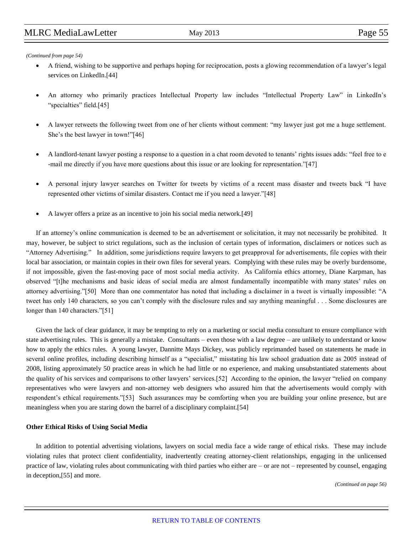*(Continued from page 54)*

- A friend, wishing to be supportive and perhaps hoping for reciprocation, posts a glowing recommendation of a lawyer's legal services on LinkedIn.[44]
- An attorney who primarily practices Intellectual Property law includes "Intellectual Property Law" in LinkedIn's "specialties" field.[45]
- A lawyer retweets the following tweet from one of her clients without comment: "my lawyer just got me a huge settlement. She's the best lawyer in town!"[46]
- A landlord-tenant lawyer posting a response to a question in a chat room devoted to tenants' rights issues adds: "feel free to e -mail me directly if you have more questions about this issue or are looking for representation."[47]
- A personal injury lawyer searches on Twitter for tweets by victims of a recent mass disaster and tweets back "I have represented other victims of similar disasters. Contact me if you need a lawyer."[48]
- A lawyer offers a prize as an incentive to join his social media network.[49]

If an attorney's online communication is deemed to be an advertisement or solicitation, it may not necessarily be prohibited. It may, however, be subject to strict regulations, such as the inclusion of certain types of information, disclaimers or notices such as "Attorney Advertising." In addition, some jurisdictions require lawyers to get preapproval for advertisements, file copies with their local bar association, or maintain copies in their own files for several years. Complying with these rules may be overly burdensome, if not impossible, given the fast-moving pace of most social media activity. As California ethics attorney, Diane Karpman, has observed "[t]he mechanisms and basic ideas of social media are almost fundamentally incompatible with many states' rules on attorney advertising."[50] More than one commentator has noted that including a disclaimer in a tweet is virtually impossible: "A tweet has only 140 characters, so you can't comply with the disclosure rules and say anything meaningful . . . Some disclosures are longer than 140 characters."[51]

Given the lack of clear guidance, it may be tempting to rely on a marketing or social media consultant to ensure compliance with state advertising rules. This is generally a mistake. Consultants – even those with a law degree – are unlikely to understand or know how to apply the ethics rules. A young lawyer, Dannitte Mays Dickey, was publicly reprimanded based on statements he made in several online profiles, including describing himself as a "specialist," misstating his law school graduation date as 2005 instead of 2008, listing approximately 50 practice areas in which he had little or no experience, and making unsubstantiated statements about the quality of his services and comparisons to other lawyers' services.[52] According to the opinion, the lawyer "relied on company representatives who were lawyers and non-attorney web designers who assured him that the advertisements would comply with respondent's ethical requirements."[53] Such assurances may be comforting when you are building your online presence, but are meaningless when you are staring down the barrel of a disciplinary complaint.[54]

#### **Other Ethical Risks of Using Social Media**

In addition to potential advertising violations, lawyers on social media face a wide range of ethical risks. These may include violating rules that protect client confidentiality, inadvertently creating attorney-client relationships, engaging in the unlicensed practice of law, violating rules about communicating with third parties who either are – or are not – represented by counsel, engaging in deception,[55] and more.

*(Continued on page 56)*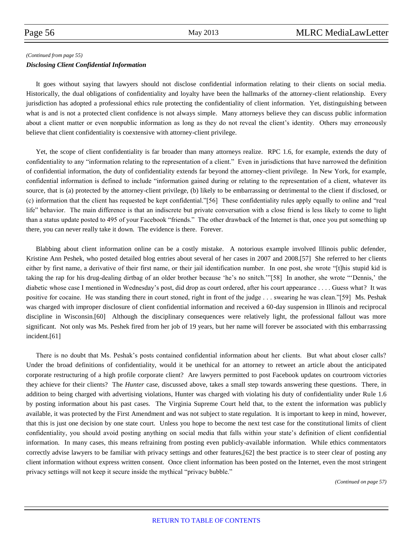#### *(Continued from page 55)*

#### *Disclosing Client Confidential Information*

It goes without saying that lawyers should not disclose confidential information relating to their clients on social media. Historically, the dual obligations of confidentiality and loyalty have been the hallmarks of the attorney-client relationship. Every jurisdiction has adopted a professional ethics rule protecting the confidentiality of client information. Yet, distinguishing between what is and is not a protected client confidence is not always simple. Many attorneys believe they can discuss public information about a client matter or even nonpublic information as long as they do not reveal the client's identity. Others may erroneously believe that client confidentiality is coextensive with attorney-client privilege.

Yet, the scope of client confidentiality is far broader than many attorneys realize. RPC 1.6, for example, extends the duty of confidentiality to any "information relating to the representation of a client." Even in jurisdictions that have narrowed the definition of confidential information, the duty of confidentiality extends far beyond the attorney-client privilege. In New York, for example, confidential information is defined to include "information gained during or relating to the representation of a client, whatever its source, that is (a) protected by the attorney-client privilege, (b) likely to be embarrassing or detrimental to the client if disclosed, or (c) information that the client has requested be kept confidential."[56] These confidentiality rules apply equally to online and "real life" behavior. The main difference is that an indiscrete but private conversation with a close friend is less likely to come to light than a status update posted to 495 of your Facebook "friends." The other drawback of the Internet is that, once you put something up there, you can never really take it down. The evidence is there. Forever.

Blabbing about client information online can be a costly mistake. A notorious example involved Illinois public defender, Kristine Ann Peshek, who posted detailed blog entries about several of her cases in 2007 and 2008.[57] She referred to her clients either by first name, a derivative of their first name, or their jail identification number. In one post, she wrote "[t]his stupid kid is taking the rap for his drug-dealing dirtbag of an older brother because 'he's no snitch.'"[58] In another, she wrote "'Dennis,' the diabetic whose case I mentioned in Wednesday's post, did drop as court ordered, after his court appearance . . . . Guess what? It was positive for cocaine. He was standing there in court stoned, right in front of the judge . . . swearing he was clean."[59] Ms. Peshak was charged with improper disclosure of client confidential information and received a 60-day suspension in Illinois and reciprocal discipline in Wisconsin.[60] Although the disciplinary consequences were relatively light, the professional fallout was more significant. Not only was Ms. Peshek fired from her job of 19 years, but her name will forever be associated with this embarrassing incident.[61]

There is no doubt that Ms. Peshak's posts contained confidential information about her clients. But what about closer calls? Under the broad definitions of confidentiality, would it be unethical for an attorney to retweet an article about the anticipated corporate restructuring of a high profile corporate client? Are lawyers permitted to post Facebook updates on courtroom victories they achieve for their clients? The *Hunter* case, discussed above, takes a small step towards answering these questions. There, in addition to being charged with advertising violations, Hunter was charged with violating his duty of confidentiality under Rule 1.6 by posting information about his past cases. The Virginia Supreme Court held that, to the extent the information was publicly available, it was protected by the First Amendment and was not subject to state regulation. It is important to keep in mind, however, that this is just one decision by one state court. Unless you hope to become the next test case for the constitutional limits of client confidentiality, you should avoid posting anything on social media that falls within your state's definition of client confidential information. In many cases, this means refraining from posting even publicly-available information. While ethics commentators correctly advise lawyers to be familiar with privacy settings and other features,[62] the best practice is to steer clear of posting any client information without express written consent. Once client information has been posted on the Internet, even the most stringent privacy settings will not keep it secure inside the mythical "privacy bubble."

*(Continued on page 57)*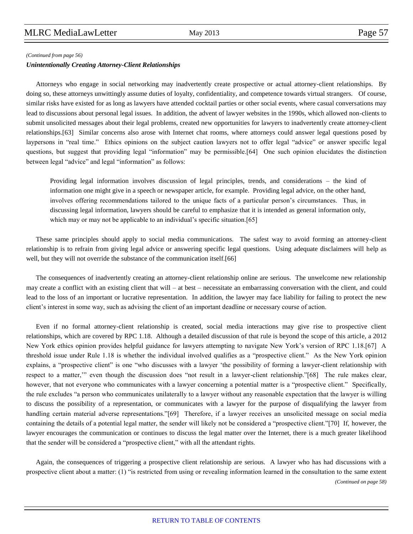#### *(Continued from page 56)*

#### *Unintentionally Creating Attorney-Client Relationships*

Attorneys who engage in social networking may inadvertently create prospective or actual attorney-client relationships. By doing so, these attorneys unwittingly assume duties of loyalty, confidentiality, and competence towards virtual strangers. Of course, similar risks have existed for as long as lawyers have attended cocktail parties or other social events, where casual conversations may lead to discussions about personal legal issues. In addition, the advent of lawyer websites in the 1990s, which allowed non-clients to submit unsolicited messages about their legal problems, created new opportunities for lawyers to inadvertently create attorney-client relationships.[63] Similar concerns also arose with Internet chat rooms, where attorneys could answer legal questions posed by laypersons in "real time." Ethics opinions on the subject caution lawyers not to offer legal "advice" or answer specific legal questions, but suggest that providing legal "information" may be permissible.[64] One such opinion elucidates the distinction between legal "advice" and legal "information" as follows:

Providing legal information involves discussion of legal principles, trends, and considerations – the kind of information one might give in a speech or newspaper article, for example. Providing legal advice, on the other hand, involves offering recommendations tailored to the unique facts of a particular person's circumstances. Thus, in discussing legal information, lawyers should be careful to emphasize that it is intended as general information only, which may or may not be applicable to an individual's specific situation.[65]

These same principles should apply to social media communications. The safest way to avoid forming an attorney-client relationship is to refrain from giving legal advice or answering specific legal questions. Using adequate disclaimers will help as well, but they will not override the substance of the communication itself.[66]

The consequences of inadvertently creating an attorney-client relationship online are serious. The unwelcome new relationship may create a conflict with an existing client that will – at best – necessitate an embarrassing conversation with the client, and could lead to the loss of an important or lucrative representation. In addition, the lawyer may face liability for failing to protect the new client's interest in some way, such as advising the client of an important deadline or necessary course of action.

Even if no formal attorney-client relationship is created, social media interactions may give rise to prospective client relationships, which are covered by RPC 1.18. Although a detailed discussion of that rule is beyond the scope of this article, a 2012 New York ethics opinion provides helpful guidance for lawyers attempting to navigate New York's version of RPC 1.18.[67] A threshold issue under Rule 1.18 is whether the individual involved qualifies as a "prospective client." As the New York opinion explains, a "prospective client" is one "who discusses with a lawyer 'the possibility of forming a lawyer-client relationship with respect to a matter,'" even though the discussion does "not result in a lawyer-client relationship."[68] The rule makes clear, however, that not everyone who communicates with a lawyer concerning a potential matter is a "prospective client." Specifically, the rule excludes "a person who communicates unilaterally to a lawyer without any reasonable expectation that the lawyer is willing to discuss the possibility of a representation, or communicates with a lawyer for the purpose of disqualifying the lawyer from handling certain material adverse representations."[69] Therefore, if a lawyer receives an unsolicited message on social media containing the details of a potential legal matter, the sender will likely not be considered a "prospective client."[70] If, however, the lawyer encourages the communication or continues to discuss the legal matter over the Internet, there is a much greater likelihood that the sender will be considered a "prospective client," with all the attendant rights.

Again, the consequences of triggering a prospective client relationship are serious. A lawyer who has had discussions with a prospective client about a matter: (1) "is restricted from using or revealing information learned in the consultation to the same extent *(Continued on page 58)*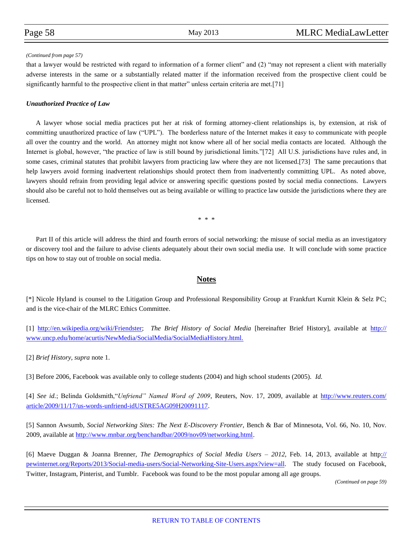#### *(Continued from page 57)*

that a lawyer would be restricted with regard to information of a former client" and (2) "may not represent a client with materially adverse interests in the same or a substantially related matter if the information received from the prospective client could be significantly harmful to the prospective client in that matter" unless certain criteria are met.[71]

#### *Unauthorized Practice of Law*

A lawyer whose social media practices put her at risk of forming attorney-client relationships is, by extension, at risk of committing unauthorized practice of law ("UPL"). The borderless nature of the Internet makes it easy to communicate with people all over the country and the world. An attorney might not know where all of her social media contacts are located. Although the Internet is global, however, "the practice of law is still bound by jurisdictional limits."[72] All U.S. jurisdictions have rules and, in some cases, criminal statutes that prohibit lawyers from practicing law where they are not licensed.[73] The same precautions that help lawyers avoid forming inadvertent relationships should protect them from inadvertently committing UPL. As noted above, lawyers should refrain from providing legal advice or answering specific questions posted by social media connections. Lawyers should also be careful not to hold themselves out as being available or willing to practice law outside the jurisdictions where they are licensed.

\* \* \*

Part II of this article will address the third and fourth errors of social networking: the misuse of social media as an investigatory or discovery tool and the failure to advise clients adequately about their own social media use. It will conclude with some practice tips on how to stay out of trouble on social media.

### **Notes**

[\*] Nicole Hyland is counsel to the Litigation Group and Professional Responsibility Group at Frankfurt Kurnit Klein & Selz PC; and is the vice-chair of the MLRC Ethics Committee.

[1] [http://en.wikipedia.org/wiki/Friendster;](http://en.wikipedia.org/wiki/Friendster) *The Brief History of Social Media* [hereinafter Brief History], available at [http://](http://www.uncp.edu/home/acurtis/NewMedia/SocialMedia/SocialMediaHistory.html.) [www.uncp.edu/home/acurtis/NewMedia/SocialMedia/SocialMediaHistory.html.](http://www.uncp.edu/home/acurtis/NewMedia/SocialMedia/SocialMediaHistory.html.)

[2] *Brief History, supra* note 1.

[3] Before 2006, Facebook was available only to college students (2004) and high school students (2005). *Id.*

[4] *See id.*; Belinda Goldsmith,"*Unfriend" Named Word of 2009*, Reuters, Nov. 17, 2009, available at [http://www.reuters.com/](http://www.reuters.com/article/2009/11/17/us-words-unfriend-idUSTRE5AG09H20091117) [article/2009/11/17/us-words-unfriend-idUSTRE5AG09H20091117.](http://www.reuters.com/article/2009/11/17/us-words-unfriend-idUSTRE5AG09H20091117)

[5] Sannon Awsumb, *Social Networking Sites: The Next E-Discovery Frontier*, Bench & Bar of Minnesota, Vol. 66, No. 10, Nov. 2009, available at [http://www.mnbar.org/benchandbar/2009/nov09/networking.html.](http://www.mnbar.org/benchandbar/2009/nov09/networking.html)

[6] Maeve Duggan & Joanna Brenner, *The Demographics of Social Media Users – 2012*, Feb. 14, 2013, available at http[://](:/pewinternet.org/Reports/2013/Social-media-users/Social-Networking-Site-Users.aspx?view=all) [pewinternet.org/Reports/2013/Social-media-users/Social-Networking-Site-Users.aspx?view=all.](:/pewinternet.org/Reports/2013/Social-media-users/Social-Networking-Site-Users.aspx?view=all) The study focused on Facebook, Twitter, Instagram, Pinterist, and Tumblr. Facebook was found to be the most popular among all age groups.

*(Continued on page 59)*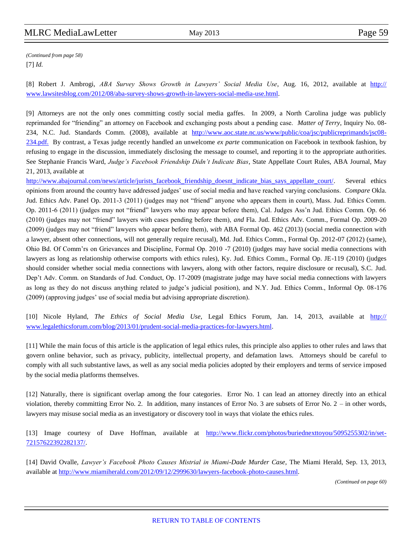[7] *Id. (Continued from page 58)*

[8] Robert J. Ambrogi, *ABA Survey Shows Growth in Lawyers' Social Media Use*, Aug. 16, 2012, available at [http://](http://www.lawsitesblog.com/2012/08/aba-survey-shows-growth-in-lawyers-social-media-use.html) [www.lawsitesblog.com/2012/08/aba-survey-shows-growth-in-lawyers-social-media-use.html.](http://www.lawsitesblog.com/2012/08/aba-survey-shows-growth-in-lawyers-social-media-use.html)

[9] Attorneys are not the only ones committing costly social media gaffes. In 2009, a North Carolina judge was publicly reprimanded for "friending" an attorney on Facebook and exchanging posts about a pending case. *Matter of Terry*, Inquiry No. 08 234, N.C. Jud. Standards Comm. (2008), available at [http://www.aoc.state.nc.us/www/public/coa/jsc/publicreprimands/jsc08-](http://www.aoc.state.nc.us/www/public/coa/jsc/publicreprimands/jsc08-234.pdf.) [234.pdf.](http://www.aoc.state.nc.us/www/public/coa/jsc/publicreprimands/jsc08-234.pdf.) By contrast, a Texas judge recently handled an unwelcome *ex parte* communication on Facebook in textbook fashion, by refusing to engage in the discussion, immediately disclosing the message to counsel, and reporting it to the appropriate authorities. See Stephanie Francis Ward, *Judge's Facebook Friendship Didn't Indicate Bias*, State Appellate Court Rules, ABA Journal, May 21, 2013, available at

http://www.abajournal.com/news/article/jurists facebook friendship doesnt indicate bias says appellate court/. Several ethics opinions from around the country have addressed judges' use of social media and have reached varying conclusions. *Compare* Okla. Jud. Ethics Adv. Panel Op. 2011-3 (2011) (judges may not "friend" anyone who appears them in court), Mass. Jud. Ethics Comm. Op. 2011-6 (2011) (judges may not "friend" lawyers who may appear before them), Cal. Judges Ass'n Jud. Ethics Comm. Op. 66 (2010) (judges may not "friend" lawyers with cases pending before them), *and* Fla. Jud. Ethics Adv. Comm., Formal Op. 2009-20 (2009) (judges may not "friend" lawyers who appear before them), *with* ABA Formal Op. 462 (2013) (social media connection with a lawyer, absent other connections, will not generally require recusal), Md. Jud. Ethics Comm., Formal Op. 2012-07 (2012) (same), Ohio Bd. Of Comm'rs on Grievances and Discipline, Formal Op. 2010 -7 (2010) (judges may have social media connections with lawyers as long as relationship otherwise comports with ethics rules), Ky. Jud. Ethics Comm., Formal Op. JE-119 (2010) (judges should consider whether social media connections with lawyers, along with other factors, require disclosure or recusal), S.C. Jud. Dep't Adv. Comm. on Standards of Jud. Conduct, Op. 17-2009 (magistrate judge may have social media connections with lawyers as long as they do not discuss anything related to judge's judicial position), and N.Y. Jud. Ethics Comm., Informal Op. 08-176 (2009) (approving judges' use of social media but advising appropriate discretion).

[10] Nicole Hyland, *The Ethics of Social Media Use*, Legal Ethics Forum, Jan. 14, 2013, available at [http://](http://www.legalethicsforum.com/blog/2013/01/prudent-social-media-practices-for-lawyers.html) [www.legalethicsforum.com/blog/2013/01/prudent-social-media-practices-for-lawyers.html.](http://www.legalethicsforum.com/blog/2013/01/prudent-social-media-practices-for-lawyers.html) 

[11] While the main focus of this article is the application of legal ethics rules, this principle also applies to other rules and laws that govern online behavior, such as privacy, publicity, intellectual property, and defamation laws. Attorneys should be careful to comply with all such substantive laws, as well as any social media policies adopted by their employers and terms of service imposed by the social media platforms themselves.

[12] Naturally, there is significant overlap among the four categories. Error No. 1 can lead an attorney directly into an ethical violation, thereby committing Error No. 2. In addition, many instances of Error No. 3 are subsets of Error No. 2 – in other words, lawyers may misuse social media as an investigatory or discovery tool in ways that violate the ethics rules.

[13] Image courtesy of Dave Hoffman, available at [http://www.flickr.com/photos/buriednexttoyou/5095255302/in/set-](http://www.flickr.com/photos/buriednexttoyou/5095255302/in/set-72157622392282137/)[72157622392282137/.](http://www.flickr.com/photos/buriednexttoyou/5095255302/in/set-72157622392282137/)

[14] David Ovalle, *Lawyer's Facebook Photo Causes Mistrial in Miami-Dade Murder Case*, The Miami Herald, Sep. 13, 2013, available at [http://www.miamiherald.com/2012/09/12/2999630/lawyers-facebook-photo-causes.html.](http://www.miamiherald.com/2012/09/12/2999630/lawyers-facebook-photo-causes.html)

*(Continued on page 60)*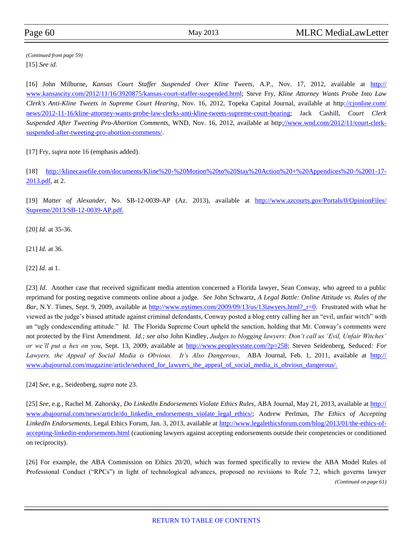[15] *See id. (Continued from page 59)*

[16] John Milburne, *Kansas Court Staffer Suspended Over Kline Tweets*, A.P., Nov. 17, 2012, available at [http://](http://www.kansascity.com/2012/11/16/3920875/kansas-court-staffer-suspended.html) [www.kansascity.com/2012/11/16/3920875/kansas-court-staffer-suspended.html;](http://www.kansascity.com/2012/11/16/3920875/kansas-court-staffer-suspended.html) Steve Fry, *Kline Attorney Wants Probe Into Law Clerk's Anti-Kline Tweets in Supreme Court Hearing*, Nov. 16, 2012, Topeka Capital Journal, available at http[://cjonline.com/](:/cjonline.com/news/2012-11-16/kline-attorney-wants-probe-law-clerks-anti-kline-tweets-supreme-court-hearing) [news/2012-11-16/kline-attorney-wants-probe-law-clerks-anti-kline-tweets-supreme-court-hearing;](:/cjonline.com/news/2012-11-16/kline-attorney-wants-probe-law-clerks-anti-kline-tweets-supreme-court-hearing) Jack Cashill, *Court Clerk Suspended After Tweeting Pro-Abortion Comments*, WND, Nov. 16, 2012, available at http[://www.wnd.com/2012/11/court-clerk](:/www.wnd.com/2012/11/court-clerk-suspended-after-tweeting-pro-abortion-comments/)[suspended-after-tweeting-pro-abortion-comments/.](:/www.wnd.com/2012/11/court-clerk-suspended-after-tweeting-pro-abortion-comments/)

[17] Fry, *supra* note 16 (emphasis added).

[18] [http://klinecasefile.com/documents/Kline%20-%20Motion%20to%20Stay%20Action%20+%20Appendices%20-%2001-17-](http://klinecasefile.com/documents/Kline%20-%20Motion%20to%20Stay%20Action%20+%20Appendices%20-%2001-17-2013.pdf) [2013.pdf,](http://klinecasefile.com/documents/Kline%20-%20Motion%20to%20Stay%20Action%20+%20Appendices%20-%2001-17-2013.pdf) at 2.

[19] *Matter of Alexander*, No. SB-12-0039-AP (Az. 2013), available at [http://www.azcourts.gov/Portals/0/OpinionFiles/](http://www.azcourts.gov/Portals/0/OpinionFiles/Supreme/2013/SB-12-0039-AP.pdf) [Supreme/2013/SB-12-0039-AP.pdf.](http://www.azcourts.gov/Portals/0/OpinionFiles/Supreme/2013/SB-12-0039-AP.pdf)

[20] *Id.* at 35-36.

[21] *Id.* at 36.

[22] *Id.* at 1.

[23] *Id.* Another case that received significant media attention concerned a Florida lawyer, Sean Conway, who agreed to a public reprimand for posting negative comments online about a judge. *See* John Schwartz, *A Legal Battle: Online Attitude vs. Rules of the Bar*, N.Y. Times, Sept. 9, 2009, available at http://www.nytimes.com/2009/09/13/us/13lawyers.html? r=0. Frustrated with what he viewed as the judge's biased attitude against criminal defendants, Conway posted a blog entry calling her an "evil, unfair witch" with an "ugly condescending attitude." *Id.* The Florida Supreme Court upheld the sanction, holding that Mr. Conway's comments were not protected by the First Amendment. *Id.; see also* John Kindley, *Judges to blogging lawyers: Don't call us 'Evil, Unfair Witches' or we'll put a hex on you*, Sept. 13, 2009, available at [http://www.peoplevstate.com/?p=258;](http://www.peoplevstate.com/?p=258) Steven Seidenberg, Seduced*: For Lawyers, the Appeal of Social Media is Obvious. It's Also Dangerous*, ABA Journal, Feb. 1, 2011, available at [http://](http://www.abajournal.com/magazine/article/seduced_for_lawyers_the_appeal_of_social_media_is_obvious_dangerous/) [www.abajournal.com/magazine/article/seduced\\_for\\_lawyers\\_the\\_appeal\\_of\\_social\\_media\\_is\\_obvious\\_dangerous/.](http://www.abajournal.com/magazine/article/seduced_for_lawyers_the_appeal_of_social_media_is_obvious_dangerous/)

[24] *See*, e.g., Seidenberg, *supra* note 23.

[25] *See*, e.g., Rachel M. Zahorsky, *Do LinkedIn Endorsements Violate Ethics Rules*, ABA Journal, May 21, 2013, available at [http://](http://www.abajournal.com/news/article/do_linkedin_endorsements_violate_legal_ethics/) [www.abajournal.com/news/article/do\\_linkedin\\_endorsements\\_violate\\_legal\\_ethics/;](http://www.abajournal.com/news/article/do_linkedin_endorsements_violate_legal_ethics/) Andrew Perlman, *The Ethics of Accepting LinkedIn Endorsements*, Legal Ethics Forum, Jan. 3, 2013, available at [http://www.legalethicsforum.com/blog/2013/01/the-ethics-of](http://www.legalethicsforum.com/blog/2013/01/the-ethics-of-accepting-linkedin-endorsements.html)[accepting-linkedin-endorsements.html](http://www.legalethicsforum.com/blog/2013/01/the-ethics-of-accepting-linkedin-endorsements.html) (cautioning lawyers against accepting endorsements outside their competencies or conditioned on reciprocity).

[26] For example, the ABA Commission on Ethics 20/20, which was formed specifically to review the ABA Model Rules of Professional Conduct ("RPCs") in light of technological advances, proposed no revisions to Rule 7.2, which governs lawyer *(Continued on page 61)*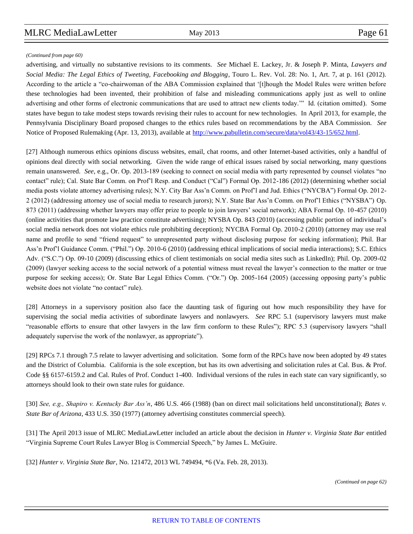*(Continued from page 60)*

advertising, and virtually no substantive revisions to its comments. *See* Michael E. Lackey, Jr. & Joseph P. Minta, *Lawyers and Social Media: The Legal Ethics of Tweeting, Facebooking and Blogging*, Touro L. Rev. Vol. 28: No. 1, Art. 7, at p. 161 (2012). According to the article a "co-chairwoman of the ABA Commission explained that '[t]hough the Model Rules were written before these technologies had been invented, their prohibition of false and misleading communications apply just as well to online advertising and other forms of electronic communications that are used to attract new clients today.'" Id. (citation omitted). Some states have begun to take modest steps towards revising their rules to account for new technologies. In April 2013, for example, the Pennsylvania Disciplinary Board proposed changes to the ethics rules based on recommendations by the ABA Commission. *See*  Notice of Proposed Rulemaking (Apr. 13, 2013), available at [http://www.pabulletin.com/secure/data/vol43/43-15/652.html.](http://www.pabulletin.com/secure/data/vol43/43-15/652.html)

[27] Although numerous ethics opinions discuss websites, email, chat rooms, and other Internet-based activities, only a handful of opinions deal directly with social networking. Given the wide range of ethical issues raised by social networking, many questions remain unanswered. *See*, e.g., Or. Op. 2013-189 (seeking to connect on social media with party represented by counsel violates "no contact" rule); Cal. State Bar Comm. on Prof'l Resp. and Conduct ("Cal") Formal Op. 2012-186 (2012) (determining whether social media posts violate attorney advertising rules); N.Y. City Bar Ass'n Comm. on Prof'l and Jud. Ethics ("NYCBA") Formal Op. 2012- 2 (2012) (addressing attorney use of social media to research jurors); N.Y. State Bar Ass'n Comm. on Prof'l Ethics ("NYSBA") Op. 873 (2011) (addressing whether lawyers may offer prize to people to join lawyers' social network); ABA Formal Op. 10-457 (2010) (online activities that promote law practice constitute advertising); NYSBA Op. 843 (2010) (accessing public portion of individual's social media network does not violate ethics rule prohibiting deception); NYCBA Formal Op. 2010-2 (2010) (attorney may use real name and profile to send "friend request" to unrepresented party without disclosing purpose for seeking information); Phil. Bar Ass'n Prof'l Guidance Comm. ("Phil.") Op. 2010-6 (2010) (addressing ethical implications of social media interactions); S.C. Ethics Adv. ("S.C.") Op. 09-10 (2009) (discussing ethics of client testimonials on social media sites such as LinkedIn); Phil. Op. 2009-02 (2009) (lawyer seeking access to the social network of a potential witness must reveal the lawyer's connection to the matter or true purpose for seeking access); Or. State Bar Legal Ethics Comm. ("Or.") Op. 2005-164 (2005) (accessing opposing party's public website does not violate "no contact" rule).

[28] Attorneys in a supervisory position also face the daunting task of figuring out how much responsibility they have for supervising the social media activities of subordinate lawyers and nonlawyers. *See* RPC 5.1 (supervisory lawyers must make "reasonable efforts to ensure that other lawyers in the law firm conform to these Rules"); RPC 5.3 (supervisory lawyers "shall adequately supervise the work of the nonlawyer, as appropriate").

[29] RPCs 7.1 through 7.5 relate to lawyer advertising and solicitation. Some form of the RPCs have now been adopted by 49 states and the District of Columbia. California is the sole exception, but has its own advertising and solicitation rules at Cal. Bus. & Prof. Code §§ 6157-6159.2 and Cal. Rules of Prof. Conduct 1-400. Individual versions of the rules in each state can vary significantly, so attorneys should look to their own state rules for guidance.

[30] *See, e.g., Shapiro v. Kentucky Bar Ass'n*, 486 U.S. 466 (1988) (ban on direct mail solicitations held unconstitutional); *Bates v. State Bar of Arizona*, 433 U.S. 350 (1977) (attorney advertising constitutes commercial speech).

[31] The April 2013 issue of MLRC MediaLawLetter included an article about the decision in *Hunter v. Virginia State Bar* entitled "Virginia Supreme Court Rules Lawyer Blog is Commercial Speech," by James L. McGuire.

[32] *Hunter v. Virginia State Bar*, No. 121472, 2013 WL 749494, \*6 (Va. Feb. 28, 2013).

*(Continued on page 62)*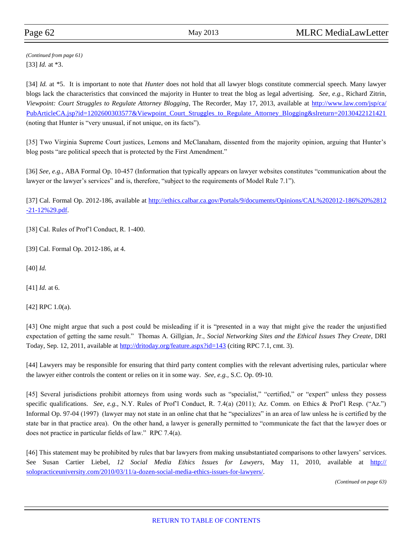[33] *Id.* at \*3. *(Continued from page 61)*

[34] *Id.* at \*5. It is important to note that *Hunter* does not hold that all lawyer blogs constitute commercial speech. Many lawyer blogs lack the characteristics that convinced the majority in Hunter to treat the blog as legal advertising. *See, e.g.*, Richard Zitrin, *Viewpoint: Court Struggles to Regulate Attorney Blogging*, The Recorder, May 17, 2013, available at [http://www.law.com/jsp/ca/](http://www.law.com/jsp/ca/PubArticleCA.jsp?id=1202600303577&Viewpoint_Court_Struggles_to_Regulate_Attorney_Blogging&slreturn=20130422121421) [PubArticleCA.jsp?id=1202600303577&Viewpoint\\_Court\\_Struggles\\_to\\_Regulate\\_Attorney\\_Blogging&slreturn=20130422121421](http://www.law.com/jsp/ca/PubArticleCA.jsp?id=1202600303577&Viewpoint_Court_Struggles_to_Regulate_Attorney_Blogging&slreturn=20130422121421) (noting that Hunter is "very unusual, if not unique, on its facts").

[35] Two Virginia Supreme Court justices, Lemons and McClanaham, dissented from the majority opinion, arguing that Hunter's blog posts "are political speech that is protected by the First Amendment."

[36] *See, e.g.*, ABA Formal Op. 10-457 (Information that typically appears on lawyer websites constitutes "communication about the lawyer or the lawyer's services" and is, therefore, "subject to the requirements of Model Rule 7.1").

[37] Cal. Formal Op. 2012-186, available at [http://ethics.calbar.ca.gov/Portals/9/documents/Opinions/CAL%202012-186%20%2812](http://ethics.calbar.ca.gov/Portals/9/documents/Opinions/CAL%202012-186%20%2812-21-12%29.pdf) [-21-12%29.pdf.](http://ethics.calbar.ca.gov/Portals/9/documents/Opinions/CAL%202012-186%20%2812-21-12%29.pdf)

[38] Cal. Rules of Prof'l Conduct, R. 1-400.

[39] Cal. Formal Op. 2012-186, at 4.

[40] *Id.*

[41] *Id.* at 6.

[42] RPC 1.0(a).

[43] One might argue that such a post could be misleading if it is "presented in a way that might give the reader the unjustified expectation of getting the same result." Thomas A. Gillgian, Jr., *Social Networking Sites and the Ethical Issues They Create*, DRI Today, Sep. 12, 2011, available at <http://dritoday.org/feature.aspx?id=143> (citing RPC 7.1, cmt. 3).

[44] Lawyers may be responsible for ensuring that third party content complies with the relevant advertising rules, particular where the lawyer either controls the content or relies on it in some way. *See, e.g.,* S.C. Op. 09-10.

[45] Several jurisdictions prohibit attorneys from using words such as "specialist," "certified," or "expert" unless they possess specific qualifications. *See, e.g.,* N.Y. Rules of Prof'l Conduct, R. 7.4(a) (2011); Az. Comm. on Ethics & Prof'l Resp. ("Az.") Informal Op. 97-04 (1997) (lawyer may not state in an online chat that he "specializes" in an area of law unless he is certified by the state bar in that practice area). On the other hand, a lawyer is generally permitted to "communicate the fact that the lawyer does or does not practice in particular fields of law." RPC 7.4(a).

[46] This statement may be prohibited by rules that bar lawyers from making unsubstantiated comparisons to other lawyers' services. See Susan Cartier Liebel, *12 Social Media Ethics Issues for Lawyers*, May 11, 2010, available at [http://](http://solopracticeuniversity.com/2010/03/11/a-dozen-social-media-ethics-issues-for-lawyers/) [solopracticeuniversity.com/2010/03/11/a-dozen-social-media-ethics-issues-for-lawyers/.](http://solopracticeuniversity.com/2010/03/11/a-dozen-social-media-ethics-issues-for-lawyers/)

*(Continued on page 63)*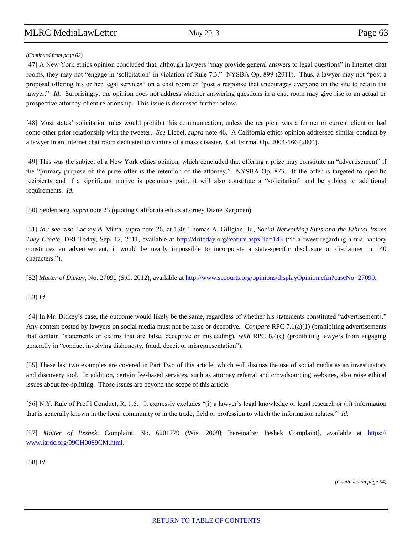#### *(Continued from page 62)*

[47] A New York ethics opinion concluded that, although lawyers "may provide general answers to legal questions" in Internet chat rooms, they may not "engage in 'solicitation' in violation of Rule 7.3." NYSBA Op. 899 (2011). Thus, a lawyer may not "post a proposal offering his or her legal services" on a chat room or "post a response that encourages everyone on the site to retain the lawyer." *Id.* Surprisingly, the opinion does not address whether answering questions in a chat room may give rise to an actual or prospective attorney-client relationship. This issue is discussed further below.

[48] Most states' solicitation rules would prohibit this communication, unless the recipient was a former or current client or had some other prior relationship with the tweeter. *See* Liebel, *supra* note 46. A California ethics opinion addressed similar conduct by a lawyer in an Internet chat room dedicated to victims of a mass disaster. Cal. Formal Op. 2004-166 (2004).

[49] This was the subject of a New York ethics opinion, which concluded that offering a prize may constitute an "advertisement" if the "primary purpose of the prize offer is the retention of the attorney." NYSBA Op. 873. If the offer is targeted to specific recipients and if a significant motive is pecuniary gain, it will also constitute a "solicitation" and be subject to additional requirements. *Id.*

[50] Seidenberg, *supra* note 23 (quoting California ethics attorney Diane Karpman).

[51] *Id.; see also* Lackey & Minta, supra note 26, at 150; Thomas A. Gillgian, Jr., *Social Networking Sites and the Ethical Issues They Create*, DRI Today, Sep. 12, 2011, available at <http://dritoday.org/feature.aspx?id=143> ("If a tweet regarding a trial victory constitutes an advertisement, it would be nearly impossible to incorporate a state-specific disclosure or disclaimer in 140 characters.").

[52] *Matter of Dickey*, No. 27090 (S.C. 2012), available at<http://www.sccourts.org/opinions/displayOpinion.cfm?caseNo=27090.>

[53] *Id.*

[54] In Mr. Dickey's case, the outcome would likely be the same, regardless of whether his statements constituted "advertisements." Any content posted by lawyers on social media must not be false or deceptive. *Compare* RPC 7.1(a)(1) (prohibiting advertisements that contain "statements or claims that are false, deceptive or misleading), *with* RPC 8.4(c) (prohibiting lawyers from engaging generally in "conduct involving dishonesty, fraud, deceit or misrepresentation").

[55] These last two examples are covered in Part Two of this article, which will discuss the use of social media as an investigatory and discovery tool. In addition, certain fee-based services, such as attorney referral and crowdsourcing websites, also raise ethical issues about fee-splitting. Those issues are beyond the scope of this article.

[56] N.Y. Rule of Prof'l Conduct, R. 1.6. It expressly excludes "(i) a lawyer's legal knowledge or legal research or (ii) information that is generally known in the local community or in the trade, field or profession to which the information relates." *Id.*

[57] *Matter of Peshek*, Complaint, No. 6201779 (Wis. 2009) [hereinafter Peshek Complaint], available at [https://](https://www.iardc.org/09CH0089CM.html) [www.iardc.org/09CH0089CM.html.](https://www.iardc.org/09CH0089CM.html)

[58] *Id.*

*(Continued on page 64)*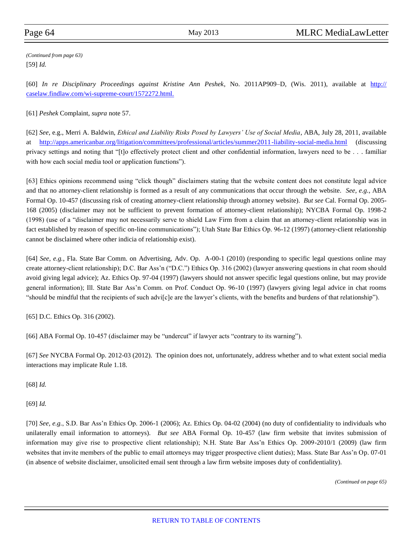[59] *Id. (Continued from page 63)*

[60] *In re Disciplinary Proceedings against Kristine Ann Peshek*, No. 2011AP909–D, (Wis. 2011), available at [http://](http://caselaw.findlaw.com/wi-supreme-court/1572272.html) [caselaw.findlaw.com/wi-supreme-court/1572272.html.](http://caselaw.findlaw.com/wi-supreme-court/1572272.html)

[61] *Peshek* Complaint, *supra* note 57.

[62] *See*, e.g., Merri A. Baldwin, *Ethical and Liability Risks Posed by Lawyers' Use of Social Media*, ABA, July 28, 2011, available at <http://apps.americanbar.org/litigation/committees/professional/articles/summer2011-liability-social-media.html> (discussing privacy settings and noting that "[t]o effectively protect client and other confidential information, lawyers need to be . . . familiar with how each social media tool or application functions").

[63] Ethics opinions recommend using "click though" disclaimers stating that the website content does not constitute legal advice and that no attorney-client relationship is formed as a result of any communications that occur through the website. *See, e.g.*, ABA Formal Op. 10-457 (discussing risk of creating attorney-client relationship through attorney website). *But see* Cal. Formal Op. 2005- 168 (2005) (disclaimer may not be sufficient to prevent formation of attorney-client relationship); NYCBA Formal Op. 1998-2 (1998) (use of a "disclaimer may not necessarily serve to shield Law Firm from a claim that an attorney-client relationship was in fact established by reason of specific on-line communications"); Utah State Bar Ethics Op. 96-12 (1997) (attorney-client relationship cannot be disclaimed where other indicia of relationship exist).

[64] *See, e.g.*, Fla. State Bar Comm. on Advertising, Adv. Op. A-00-1 (2010) (responding to specific legal questions online may create attorney-client relationship); D.C. Bar Ass'n ("D.C.") Ethics Op. 316 (2002) (lawyer answering questions in chat room should avoid giving legal advice); Az. Ethics Op. 97-04 (1997) (lawyers should not answer specific legal questions online, but may provide general information); Ill. State Bar Ass'n Comm. on Prof. Conduct Op. 96-10 (1997) (lawyers giving legal advice in chat rooms "should be mindful that the recipients of such advi[c]e are the lawyer's clients, with the benefits and burdens of that relationship").

[65] D.C. Ethics Op. 316 (2002).

[66] ABA Formal Op. 10-457 (disclaimer may be "undercut" if lawyer acts "contrary to its warning").

[67] *See* NYCBA Formal Op. 2012-03 (2012). The opinion does not, unfortunately, address whether and to what extent social media interactions may implicate Rule 1.18.

[68] *Id.*

[69] *Id.*

[70] *See, e.g.*, S.D. Bar Ass'n Ethics Op. 2006-1 (2006); Az. Ethics Op. 04-02 (2004) (no duty of confidentiality to individuals who unilaterally email information to attorneys). *But see* ABA Formal Op. 10-457 (law firm website that invites submission of information may give rise to prospective client relationship); N.H. State Bar Ass'n Ethics Op. 2009-2010/1 (2009) (law firm websites that invite members of the public to email attorneys may trigger prospective client duties); Mass. State Bar Ass'n Op. 07-01 (in absence of website disclaimer, unsolicited email sent through a law firm website imposes duty of confidentiality).

*(Continued on page 65)*